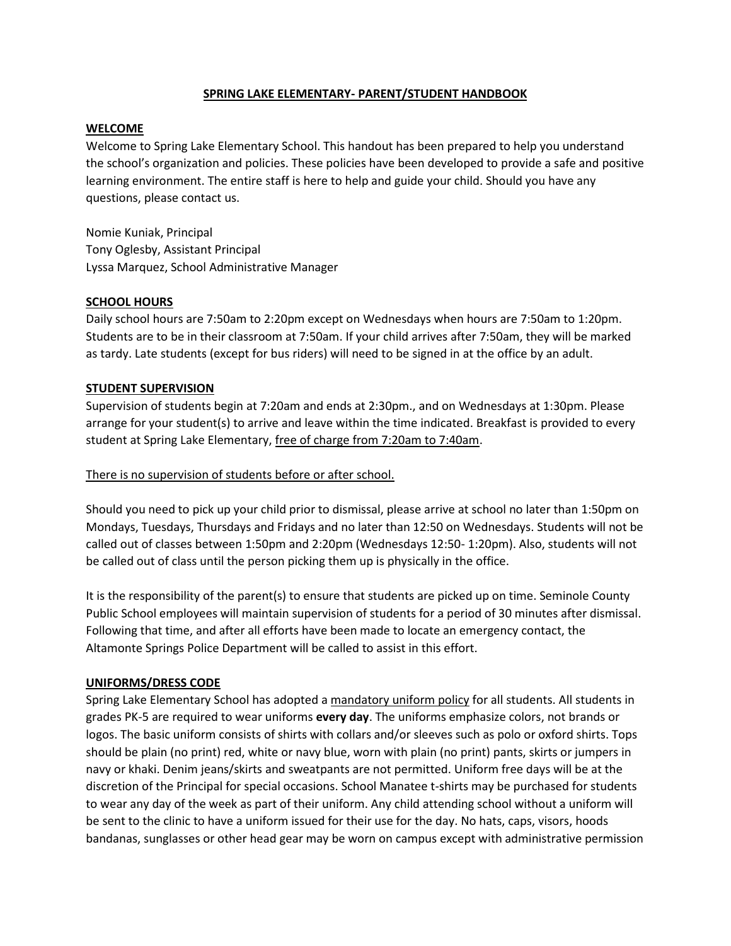### **SPRING LAKE ELEMENTARY- PARENT/STUDENT HANDBOOK**

#### **WELCOME**

Welcome to Spring Lake Elementary School. This handout has been prepared to help you understand the school's organization and policies. These policies have been developed to provide a safe and positive learning environment. The entire staff is here to help and guide your child. Should you have any questions, please contact us.

Nomie Kuniak, Principal Tony Oglesby, Assistant Principal Lyssa Marquez, School Administrative Manager

#### **SCHOOL HOURS**

Daily school hours are 7:50am to 2:20pm except on Wednesdays when hours are 7:50am to 1:20pm. Students are to be in their classroom at 7:50am. If your child arrives after 7:50am, they will be marked as tardy. Late students (except for bus riders) will need to be signed in at the office by an adult.

#### **STUDENT SUPERVISION**

Supervision of students begin at 7:20am and ends at 2:30pm., and on Wednesdays at 1:30pm. Please arrange for your student(s) to arrive and leave within the time indicated. Breakfast is provided to every student at Spring Lake Elementary, free of charge from 7:20am to 7:40am.

#### There is no supervision of students before or after school.

Should you need to pick up your child prior to dismissal, please arrive at school no later than 1:50pm on Mondays, Tuesdays, Thursdays and Fridays and no later than 12:50 on Wednesdays. Students will not be called out of classes between 1:50pm and 2:20pm (Wednesdays 12:50- 1:20pm). Also, students will not be called out of class until the person picking them up is physically in the office.

It is the responsibility of the parent(s) to ensure that students are picked up on time. Seminole County Public School employees will maintain supervision of students for a period of 30 minutes after dismissal. Following that time, and after all efforts have been made to locate an emergency contact, the Altamonte Springs Police Department will be called to assist in this effort.

### **UNIFORMS/DRESS CODE**

Spring Lake Elementary School has adopted a mandatory uniform policy for all students. All students in grades PK-5 are required to wear uniforms **every day**. The uniforms emphasize colors, not brands or logos. The basic uniform consists of shirts with collars and/or sleeves such as polo or oxford shirts. Tops should be plain (no print) red, white or navy blue, worn with plain (no print) pants, skirts or jumpers in navy or khaki. Denim jeans/skirts and sweatpants are not permitted. Uniform free days will be at the discretion of the Principal for special occasions. School Manatee t-shirts may be purchased for students to wear any day of the week as part of their uniform. Any child attending school without a uniform will be sent to the clinic to have a uniform issued for their use for the day. No hats, caps, visors, hoods bandanas, sunglasses or other head gear may be worn on campus except with administrative permission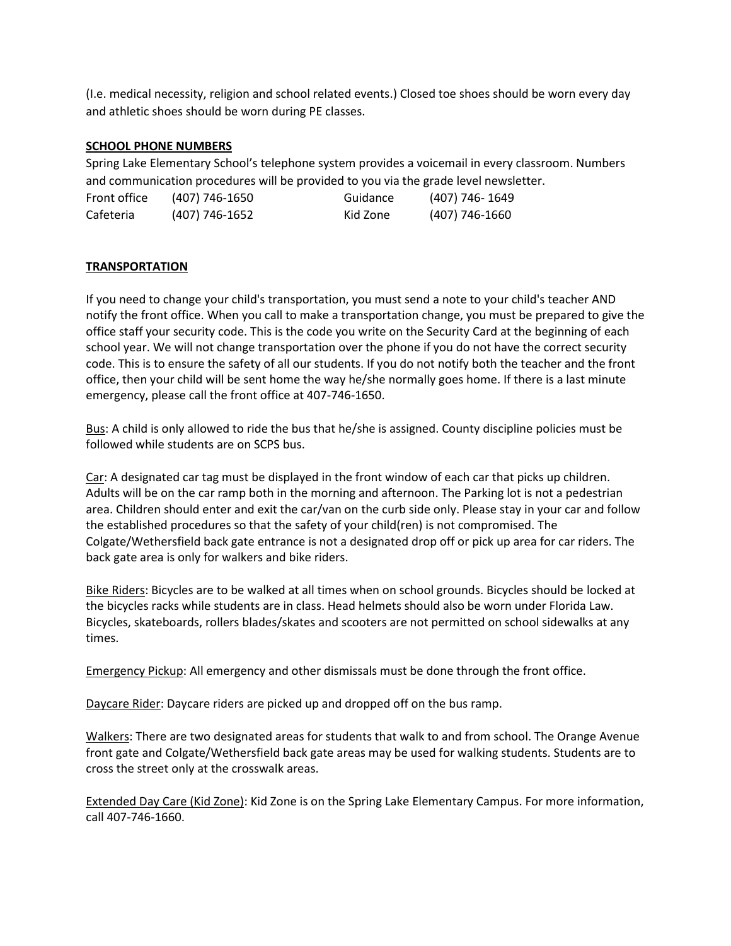(I.e. medical necessity, religion and school related events.) Closed toe shoes should be worn every day and athletic shoes should be worn during PE classes.

## **SCHOOL PHONE NUMBERS**

Spring Lake Elementary School's telephone system provides a voicemail in every classroom. Numbers and communication procedures will be provided to you via the grade level newsletter.

| Front office | (407) 746-1650   | Guidance | (407) 746- 1649 |
|--------------|------------------|----------|-----------------|
| Cafeteria    | $(407)$ 746-1652 | Kid Zone | (407) 746-1660  |

# **TRANSPORTATION**

If you need to change your child's transportation, you must send a note to your child's teacher AND notify the front office. When you call to make a transportation change, you must be prepared to give the office staff your security code. This is the code you write on the Security Card at the beginning of each school year. We will not change transportation over the phone if you do not have the correct security code. This is to ensure the safety of all our students. If you do not notify both the teacher and the front office, then your child will be sent home the way he/she normally goes home. If there is a last minute emergency, please call the front office at 407-746-1650.

Bus: A child is only allowed to ride the bus that he/she is assigned. County discipline policies must be followed while students are on SCPS bus.

Car: A designated car tag must be displayed in the front window of each car that picks up children. Adults will be on the car ramp both in the morning and afternoon. The Parking lot is not a pedestrian area. Children should enter and exit the car/van on the curb side only. Please stay in your car and follow the established procedures so that the safety of your child(ren) is not compromised. The Colgate/Wethersfield back gate entrance is not a designated drop off or pick up area for car riders. The back gate area is only for walkers and bike riders.

Bike Riders: Bicycles are to be walked at all times when on school grounds. Bicycles should be locked at the bicycles racks while students are in class. Head helmets should also be worn under Florida Law. Bicycles, skateboards, rollers blades/skates and scooters are not permitted on school sidewalks at any times.

Emergency Pickup: All emergency and other dismissals must be done through the front office.

Daycare Rider: Daycare riders are picked up and dropped off on the bus ramp.

Walkers: There are two designated areas for students that walk to and from school. The Orange Avenue front gate and Colgate/Wethersfield back gate areas may be used for walking students. Students are to cross the street only at the crosswalk areas.

Extended Day Care (Kid Zone): Kid Zone is on the Spring Lake Elementary Campus. For more information, call 407-746-1660.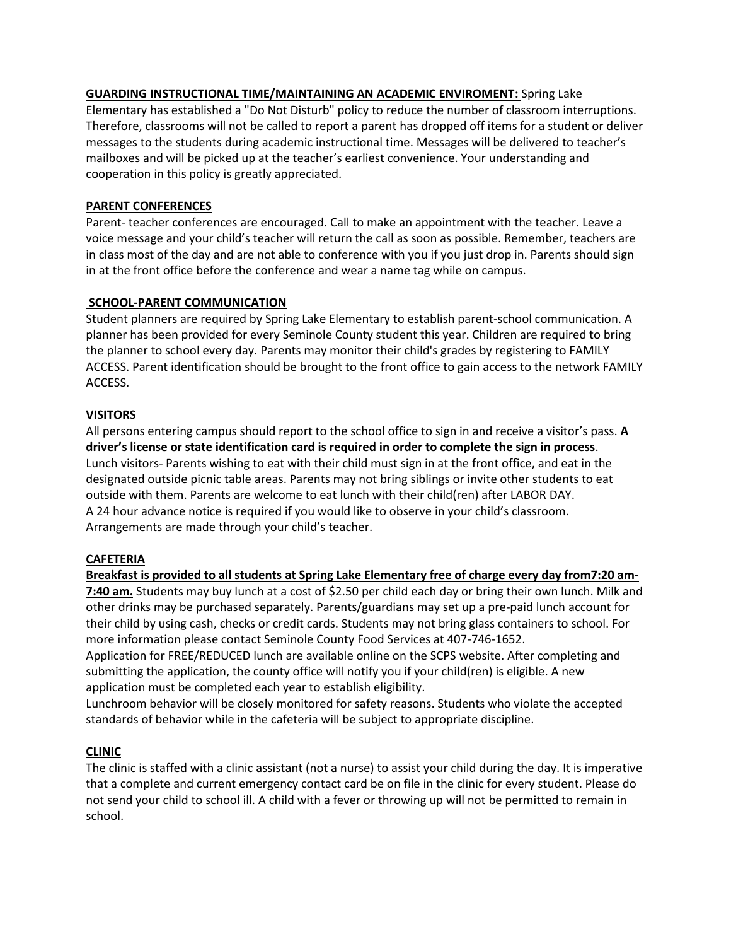#### **GUARDING INSTRUCTIONAL TIME/MAINTAINING AN ACADEMIC ENVIROMENT:** Spring Lake Elementary has established a "Do Not Disturb" policy to reduce the number of classroom interruptions.

Therefore, classrooms will not be called to report a parent has dropped off items for a student or deliver messages to the students during academic instructional time. Messages will be delivered to teacher's mailboxes and will be picked up at the teacher's earliest convenience. Your understanding and cooperation in this policy is greatly appreciated.

## **PARENT CONFERENCES**

Parent- teacher conferences are encouraged. Call to make an appointment with the teacher. Leave a voice message and your child's teacher will return the call as soon as possible. Remember, teachers are in class most of the day and are not able to conference with you if you just drop in. Parents should sign in at the front office before the conference and wear a name tag while on campus.

## **SCHOOL-PARENT COMMUNICATION**

Student planners are required by Spring Lake Elementary to establish parent-school communication. A planner has been provided for every Seminole County student this year. Children are required to bring the planner to school every day. Parents may monitor their child's grades by registering to FAMILY ACCESS. Parent identification should be brought to the front office to gain access to the network FAMILY ACCESS.

## **VISITORS**

All persons entering campus should report to the school office to sign in and receive a visitor's pass. **A driver's license or state identification card is required in order to complete the sign in process**. Lunch visitors- Parents wishing to eat with their child must sign in at the front office, and eat in the designated outside picnic table areas. Parents may not bring siblings or invite other students to eat outside with them. Parents are welcome to eat lunch with their child(ren) after LABOR DAY. A 24 hour advance notice is required if you would like to observe in your child's classroom. Arrangements are made through your child's teacher.

### **CAFETERIA**

**Breakfast is provided to all students at Spring Lake Elementary free of charge every day from7:20 am-7:40 am.** Students may buy lunch at a cost of \$2.50 per child each day or bring their own lunch. Milk and other drinks may be purchased separately. Parents/guardians may set up a pre-paid lunch account for

their child by using cash, checks or credit cards. Students may not bring glass containers to school. For more information please contact Seminole County Food Services at 407-746-1652.

Application for FREE/REDUCED lunch are available online on the SCPS website. After completing and submitting the application, the county office will notify you if your child(ren) is eligible. A new application must be completed each year to establish eligibility.

Lunchroom behavior will be closely monitored for safety reasons. Students who violate the accepted standards of behavior while in the cafeteria will be subject to appropriate discipline.

# **CLINIC**

The clinic is staffed with a clinic assistant (not a nurse) to assist your child during the day. It is imperative that a complete and current emergency contact card be on file in the clinic for every student. Please do not send your child to school ill. A child with a fever or throwing up will not be permitted to remain in school.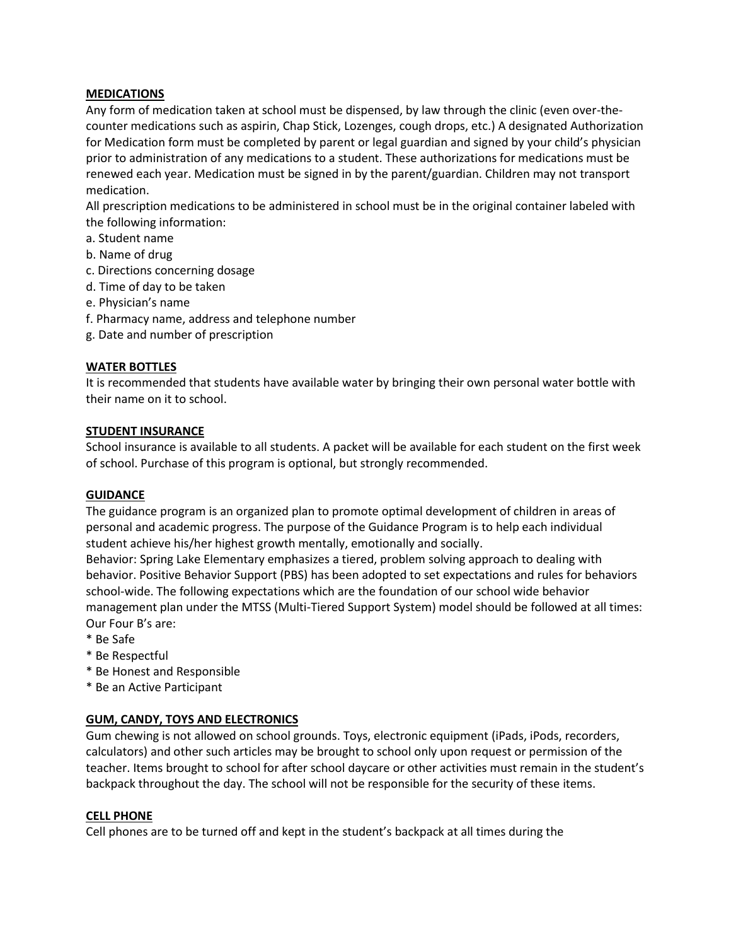### **MEDICATIONS**

Any form of medication taken at school must be dispensed, by law through the clinic (even over-thecounter medications such as aspirin, Chap Stick, Lozenges, cough drops, etc.) A designated Authorization for Medication form must be completed by parent or legal guardian and signed by your child's physician prior to administration of any medications to a student. These authorizations for medications must be renewed each year. Medication must be signed in by the parent/guardian. Children may not transport medication.

All prescription medications to be administered in school must be in the original container labeled with the following information:

- a. Student name
- b. Name of drug
- c. Directions concerning dosage
- d. Time of day to be taken
- e. Physician's name
- f. Pharmacy name, address and telephone number
- g. Date and number of prescription

# **WATER BOTTLES**

It is recommended that students have available water by bringing their own personal water bottle with their name on it to school.

## **STUDENT INSURANCE**

School insurance is available to all students. A packet will be available for each student on the first week of school. Purchase of this program is optional, but strongly recommended.

### **GUIDANCE**

The guidance program is an organized plan to promote optimal development of children in areas of personal and academic progress. The purpose of the Guidance Program is to help each individual student achieve his/her highest growth mentally, emotionally and socially.

Behavior: Spring Lake Elementary emphasizes a tiered, problem solving approach to dealing with behavior. Positive Behavior Support (PBS) has been adopted to set expectations and rules for behaviors school-wide. The following expectations which are the foundation of our school wide behavior management plan under the MTSS (Multi-Tiered Support System) model should be followed at all times: Our Four B's are:

- \* Be Safe
- \* Be Respectful
- \* Be Honest and Responsible
- \* Be an Active Participant

# **GUM, CANDY, TOYS AND ELECTRONICS**

Gum chewing is not allowed on school grounds. Toys, electronic equipment (iPads, iPods, recorders, calculators) and other such articles may be brought to school only upon request or permission of the teacher. Items brought to school for after school daycare or other activities must remain in the student's backpack throughout the day. The school will not be responsible for the security of these items.

### **CELL PHONE**

Cell phones are to be turned off and kept in the student's backpack at all times during the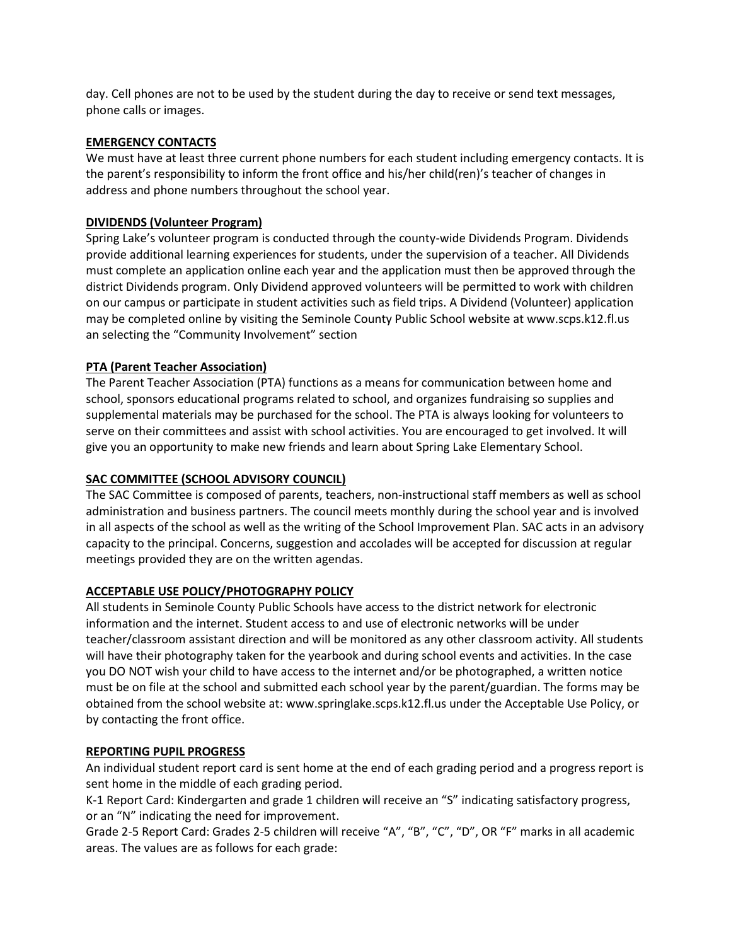day. Cell phones are not to be used by the student during the day to receive or send text messages, phone calls or images.

#### **EMERGENCY CONTACTS**

We must have at least three current phone numbers for each student including emergency contacts. It is the parent's responsibility to inform the front office and his/her child(ren)'s teacher of changes in address and phone numbers throughout the school year.

### **DIVIDENDS (Volunteer Program)**

Spring Lake's volunteer program is conducted through the county-wide Dividends Program. Dividends provide additional learning experiences for students, under the supervision of a teacher. All Dividends must complete an application online each year and the application must then be approved through the district Dividends program. Only Dividend approved volunteers will be permitted to work with children on our campus or participate in student activities such as field trips. A Dividend (Volunteer) application may be completed online by visiting the Seminole County Public School website at www.scps.k12.fl.us an selecting the "Community Involvement" section

### **PTA (Parent Teacher Association)**

The Parent Teacher Association (PTA) functions as a means for communication between home and school, sponsors educational programs related to school, and organizes fundraising so supplies and supplemental materials may be purchased for the school. The PTA is always looking for volunteers to serve on their committees and assist with school activities. You are encouraged to get involved. It will give you an opportunity to make new friends and learn about Spring Lake Elementary School.

### **SAC COMMITTEE (SCHOOL ADVISORY COUNCIL)**

The SAC Committee is composed of parents, teachers, non-instructional staff members as well as school administration and business partners. The council meets monthly during the school year and is involved in all aspects of the school as well as the writing of the School Improvement Plan. SAC acts in an advisory capacity to the principal. Concerns, suggestion and accolades will be accepted for discussion at regular meetings provided they are on the written agendas.

### **ACCEPTABLE USE POLICY/PHOTOGRAPHY POLICY**

All students in Seminole County Public Schools have access to the district network for electronic information and the internet. Student access to and use of electronic networks will be under teacher/classroom assistant direction and will be monitored as any other classroom activity. All students will have their photography taken for the yearbook and during school events and activities. In the case you DO NOT wish your child to have access to the internet and/or be photographed, a written notice must be on file at the school and submitted each school year by the parent/guardian. The forms may be obtained from the school website at: www.springlake.scps.k12.fl.us under the Acceptable Use Policy, or by contacting the front office.

### **REPORTING PUPIL PROGRESS**

An individual student report card is sent home at the end of each grading period and a progress report is sent home in the middle of each grading period.

K-1 Report Card: Kindergarten and grade 1 children will receive an "S" indicating satisfactory progress, or an "N" indicating the need for improvement.

Grade 2-5 Report Card: Grades 2-5 children will receive "A", "B", "C", "D", OR "F" marks in all academic areas. The values are as follows for each grade: